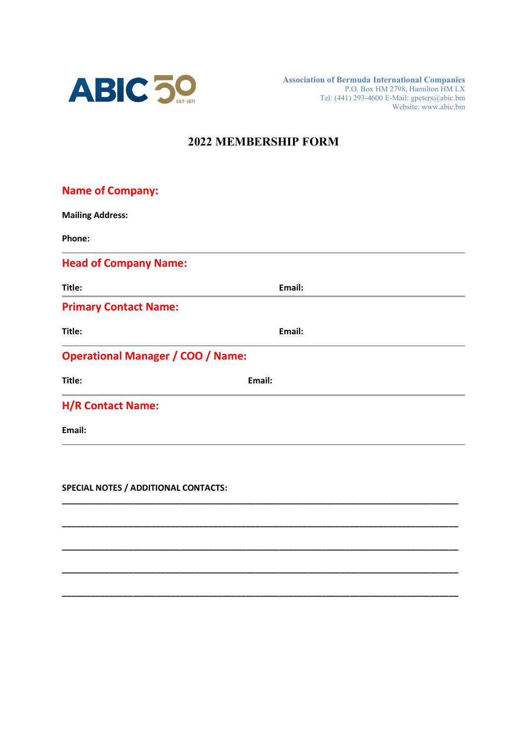

Association of Bermuda International Companies P.O. Box HM 2798, Hamilton HM LX Tel: (441) 293-4600 E-Mail: gpeters@abic.bm Website: www.abic.bm

## 2022 MEMBERSHIP FORM

| <b>Name of Company:</b>                  |        |  |
|------------------------------------------|--------|--|
| <b>Mailing Address:</b>                  |        |  |
| Phone:                                   |        |  |
| <b>Head of Company Name:</b>             |        |  |
| Title:                                   | Email: |  |
| <b>Primary Contact Name:</b>             |        |  |
| Title:                                   | Email: |  |
| <b>Operational Manager / COO / Name:</b> |        |  |
| Title:                                   | Email: |  |
| <b>H/R Contact Name:</b>                 |        |  |
| Email:                                   |        |  |
|                                          |        |  |
|                                          |        |  |

\_\_\_\_\_\_\_\_\_\_\_\_\_\_\_\_\_\_\_\_\_\_\_\_\_\_\_\_\_\_\_\_\_\_\_\_\_\_\_\_\_\_\_\_\_\_\_\_\_\_\_\_\_\_\_\_\_\_\_\_\_\_\_\_\_\_\_\_\_\_\_\_\_\_\_\_\_\_\_\_\_\_\_\_

\_\_\_\_\_\_\_\_\_\_\_\_\_\_\_\_\_\_\_\_\_\_\_\_\_\_\_\_\_\_\_\_\_\_\_\_\_\_\_\_\_\_\_\_\_\_\_\_\_\_\_\_\_\_\_\_\_\_\_\_\_\_\_\_\_\_\_\_\_\_\_\_\_\_\_\_\_\_\_\_\_\_\_\_

\_\_\_\_\_\_\_\_\_\_\_\_\_\_\_\_\_\_\_\_\_\_\_\_\_\_\_\_\_\_\_\_\_\_\_\_\_\_\_\_\_\_\_\_\_\_\_\_\_\_\_\_\_\_\_\_\_\_\_\_\_\_\_\_\_\_\_\_\_\_\_\_\_\_\_\_\_\_\_\_\_\_\_\_

\_\_\_\_\_\_\_\_\_\_\_\_\_\_\_\_\_\_\_\_\_\_\_\_\_\_\_\_\_\_\_\_\_\_\_\_\_\_\_\_\_\_\_\_\_\_\_\_\_\_\_\_\_\_\_\_\_\_\_\_\_\_\_\_\_\_\_\_\_\_\_\_\_\_\_\_\_\_\_\_\_\_\_\_

\_\_\_\_\_\_\_\_\_\_\_\_\_\_\_\_\_\_\_\_\_\_\_\_\_\_\_\_\_\_\_\_\_\_\_\_\_\_\_\_\_\_\_\_\_\_\_\_\_\_\_\_\_\_\_\_\_\_\_\_\_\_\_\_\_\_\_\_\_\_\_\_\_\_\_\_\_\_\_\_\_\_\_\_

SPECIAL NOTES / ADDITIONAL CONTACTS: